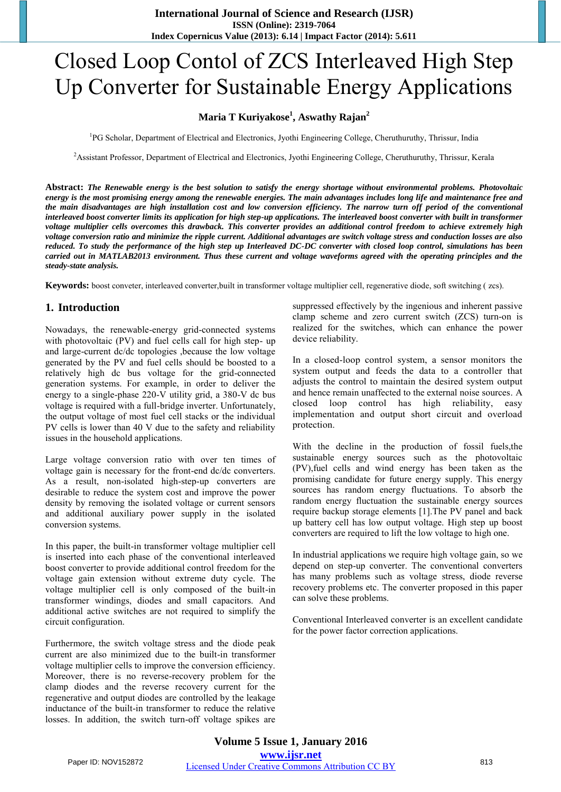# Closed Loop Contol of ZCS Interleaved High Step Up Converter for Sustainable Energy Applications

#### **Maria T Kuriyakose<sup>1</sup> , Aswathy Rajan<sup>2</sup>**

<sup>1</sup>PG Scholar, Department of Electrical and Electronics, Jyothi Engineering College, Cheruthuruthy, Thrissur, India

<sup>2</sup>Assistant Professor, Department of Electrical and Electronics, Jyothi Engineering College, Cheruthuruthy, Thrissur, Kerala

**Abstract:** *The Renewable energy is the best solution to satisfy the energy shortage without environmental problems. Photovoltaic energy is the most promising energy among the renewable energies. The main advantages includes long life and maintenance free and the main disadvantages are high installation cost and low conversion efficiency. The narrow turn off period of the conventional interleaved boost converter limits its application for high step-up applications. The interleaved boost converter with built in transformer voltage multiplier cells overcomes this drawback. This converter provides an additional control freedom to achieve extremely high voltage conversion ratio and minimize the ripple current. Additional advantages are switch voltage stress and conduction losses are also reduced. To study the performance of the high step up Interleaved DC-DC converter with closed loop control, simulations has been carried out in MATLAB2013 environment. Thus these current and voltage waveforms agreed with the operating principles and the steady-state analysis.*

**Keywords:** boost conveter, interleaved converter,built in transformer voltage multiplier cell, regenerative diode, soft switching ( zcs).

#### **1. Introduction**

Nowadays, the renewable-energy grid-connected systems with photovoltaic (PV) and fuel cells call for high step- up and large-current dc/dc topologies ,because the low voltage generated by the PV and fuel cells should be boosted to a relatively high dc bus voltage for the grid-connected generation systems. For example, in order to deliver the energy to a single-phase 220-V utility grid, a 380-V dc bus voltage is required with a full-bridge inverter. Unfortunately, the output voltage of most fuel cell stacks or the individual PV cells is lower than 40 V due to the safety and reliability issues in the household applications.

Large voltage conversion ratio with over ten times of voltage gain is necessary for the front-end dc/dc converters. As a result, non-isolated high-step-up converters are desirable to reduce the system cost and improve the power density by removing the isolated voltage or current sensors and additional auxiliary power supply in the isolated conversion systems.

In this paper, the built-in transformer voltage multiplier cell is inserted into each phase of the conventional interleaved boost converter to provide additional control freedom for the voltage gain extension without extreme duty cycle. The voltage multiplier cell is only composed of the built-in transformer windings, diodes and small capacitors. And additional active switches are not required to simplify the circuit configuration.

Furthermore, the switch voltage stress and the diode peak current are also minimized due to the built-in transformer voltage multiplier cells to improve the conversion efficiency. Moreover, there is no reverse-recovery problem for the clamp diodes and the reverse recovery current for the regenerative and output diodes are controlled by the leakage inductance of the built-in transformer to reduce the relative losses. In addition, the switch turn-off voltage spikes are suppressed effectively by the ingenious and inherent passive clamp scheme and zero current switch (ZCS) turn-on is realized for the switches, which can enhance the power device reliability.

In a closed-loop control system, a sensor monitors the system output and feeds the data to a controller that adjusts the control to maintain the desired system output and hence remain unaffected to the external noise sources. A closed loop control has high reliability, easy implementation and output short circuit and overload protection.

With the decline in the production of fossil fuels,the sustainable energy sources such as the photovoltaic (PV),fuel cells and wind energy has been taken as the promising candidate for future energy supply. This energy sources has random energy fluctuations. To absorb the random energy fluctuation the sustainable energy sources require backup storage elements [1].The PV panel and back up battery cell has low output voltage. High step up boost converters are required to lift the low voltage to high one.

In industrial applications we require high voltage gain, so we depend on step-up converter. The conventional converters has many problems such as voltage stress, diode reverse recovery problems etc. The converter proposed in this paper can solve these problems.

Conventional Interleaved converter is an excellent candidate for the power factor correction applications.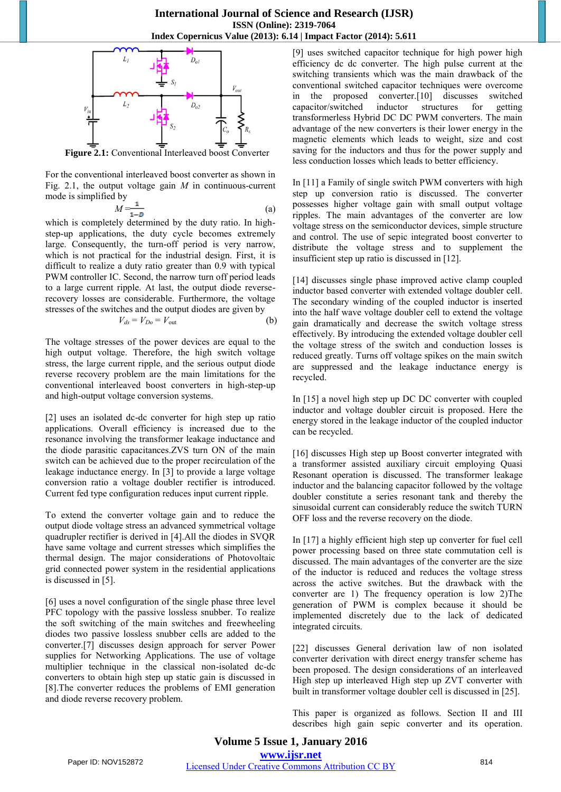

**Figure 2.1:** Conventional Interleaved boost Converter

For the conventional interleaved boost converter as shown in Fig. 2.1, the output voltage gain *M* in continuous-current mode is simplified by

$$
M = \frac{1}{1 - D} \tag{a}
$$

which is completely determined by the duty ratio. In highstep-up applications, the duty cycle becomes extremely large. Consequently, the turn-off period is very narrow, which is not practical for the industrial design. First, it is difficult to realize a duty ratio greater than 0.9 with typical PWM controller IC. Second, the narrow turn off period leads to a large current ripple. At last, the output diode reverserecovery losses are considerable. Furthermore, the voltage stresses of the switches and the output diodes are given by

$$
V_{ds} = V_{Do} = V_{out}
$$
 (b)

The voltage stresses of the power devices are equal to the high output voltage. Therefore, the high switch voltage stress, the large current ripple, and the serious output diode reverse recovery problem are the main limitations for the conventional interleaved boost converters in high-step-up and high-output voltage conversion systems.

[2] uses an isolated dc-dc converter for high step up ratio applications. Overall efficiency is increased due to the resonance involving the transformer leakage inductance and the diode parasitic capacitances.ZVS turn ON of the main switch can be achieved due to the proper recirculation of the leakage inductance energy. In [3] to provide a large voltage conversion ratio a voltage doubler rectifier is introduced. Current fed type configuration reduces input current ripple.

To extend the converter voltage gain and to reduce the output diode voltage stress an advanced symmetrical voltage quadrupler rectifier is derived in [4].All the diodes in SVQR have same voltage and current stresses which simplifies the thermal design. The major considerations of Photovoltaic grid connected power system in the residential applications is discussed in [5].

[6] uses a novel configuration of the single phase three level PFC topology with the passive lossless snubber. To realize the soft switching of the main switches and freewheeling diodes two passive lossless snubber cells are added to the converter.[7] discusses design approach for server Power supplies for Networking Applications. The use of voltage multiplier technique in the classical non-isolated dc-dc converters to obtain high step up static gain is discussed in [8].The converter reduces the problems of EMI generation and diode reverse recovery problem.

[9] uses switched capacitor technique for high power high efficiency dc dc converter. The high pulse current at the switching transients which was the main drawback of the conventional switched capacitor techniques were overcome in the proposed converter.[10] discusses switched<br>capacitor/switched inductor structures for getting capacitor/switched inductor structures for getting transformerless Hybrid DC DC PWM converters. The main advantage of the new converters is their lower energy in the magnetic elements which leads to weight, size and cost saving for the inductors and thus for the power supply and less conduction losses which leads to better efficiency.

In [11] a Family of single switch PWM converters with high step up conversion ratio is discussed. The converter possesses higher voltage gain with small output voltage ripples. The main advantages of the converter are low voltage stress on the semiconductor devices, simple structure and control. The use of sepic integrated boost converter to distribute the voltage stress and to supplement the insufficient step up ratio is discussed in [12].

[14] discusses single phase improved active clamp coupled inductor based converter with extended voltage doubler cell. The secondary winding of the coupled inductor is inserted into the half wave voltage doubler cell to extend the voltage gain dramatically and decrease the switch voltage stress effectively. By introducing the extended voltage doubler cell the voltage stress of the switch and conduction losses is reduced greatly. Turns off voltage spikes on the main switch are suppressed and the leakage inductance energy is recycled.

In [15] a novel high step up DC DC converter with coupled inductor and voltage doubler circuit is proposed. Here the energy stored in the leakage inductor of the coupled inductor can be recycled.

[16] discusses High step up Boost converter integrated with a transformer assisted auxiliary circuit employing Quasi Resonant operation is discussed. The transformer leakage inductor and the balancing capacitor followed by the voltage doubler constitute a series resonant tank and thereby the sinusoidal current can considerably reduce the switch TURN OFF loss and the reverse recovery on the diode.

In [17] a highly efficient high step up converter for fuel cell power processing based on three state commutation cell is discussed. The main advantages of the converter are the size of the inductor is reduced and reduces the voltage stress across the active switches. But the drawback with the converter are 1) The frequency operation is low 2)The generation of PWM is complex because it should be implemented discretely due to the lack of dedicated integrated circuits.

[22] discusses General derivation law of non isolated converter derivation with direct energy transfer scheme has been proposed. The design considerations of an interleaved High step up interleaved High step up ZVT converter with built in transformer voltage doubler cell is discussed in [25].

This paper is organized as follows. Section II and III describes high gain sepic converter and its operation.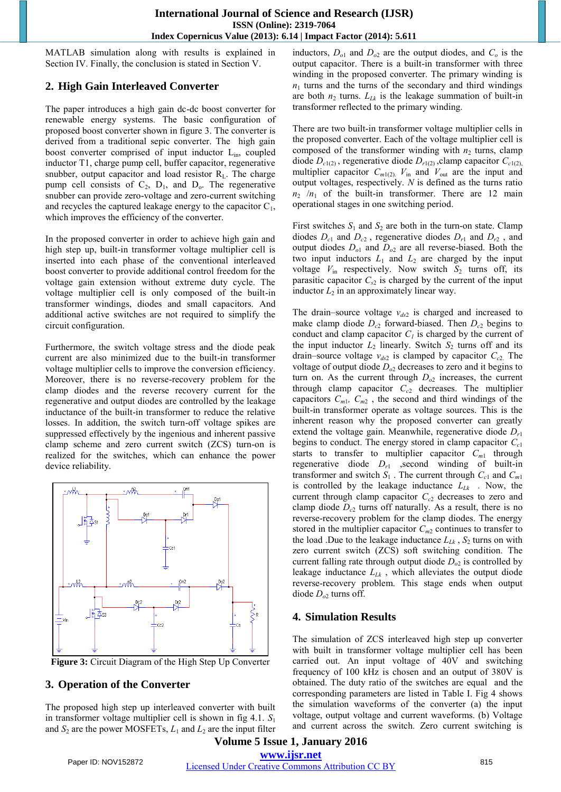MATLAB simulation along with results is explained in Section IV. Finally, the conclusion is stated in Section V.

# **2. High Gain Interleaved Converter**

The paper introduces a high gain dc-dc boost converter for renewable energy systems. The basic configuration of proposed boost converter shown in figure 3. The converter is derived from a traditional sepic converter. The high gain boost converter comprised of input inductor L<sub>in</sub>, coupled inductor T1, charge pump cell, buffer capacitor, regenerative snubber, output capacitor and load resistor  $R_L$ . The charge pump cell consists of  $C_2$ ,  $D_1$ , and  $D_0$ . The regenerative snubber can provide zero-voltage and zero-current switching and recycles the captured leakage energy to the capacitor  $C_1$ , which improves the efficiency of the converter.

In the proposed converter in order to achieve high gain and high step up, built-in transformer voltage multiplier cell is inserted into each phase of the conventional interleaved boost converter to provide additional control freedom for the voltage gain extension without extreme duty cycle. The voltage multiplier cell is only composed of the built-in transformer windings, diodes and small capacitors. And additional active switches are not required to simplify the circuit configuration.

Furthermore, the switch voltage stress and the diode peak current are also minimized due to the built-in transformer voltage multiplier cells to improve the conversion efficiency. Moreover, there is no reverse-recovery problem for the clamp diodes and the reverse recovery current for the regenerative and output diodes are controlled by the leakage inductance of the built-in transformer to reduce the relative losses. In addition, the switch turn-off voltage spikes are suppressed effectively by the ingenious and inherent passive clamp scheme and zero current switch (ZCS) turn-on is realized for the switches, which can enhance the power device reliability.



**Figure 3:** Circuit Diagram of the High Step Up Converter

# **3. Operation of the Converter**

The proposed high step up interleaved converter with built in transformer voltage multiplier cell is shown in fig 4.1. *S*<sub>1</sub> and  $S_2$  are the power MOSFETs,  $L_1$  and  $L_2$  are the input filter inductors,  $D_{o1}$  and  $D_{o2}$  are the output diodes, and  $C_o$  is the output capacitor. There is a built-in transformer with three winding in the proposed converter. The primary winding is  $n_1$  turns and the turns of the secondary and third windings are both  $n_2$  turns.  $L_{Lk}$  is the leakage summation of built-in transformer reflected to the primary winding.

There are two built-in transformer voltage multiplier cells in the proposed converter. Each of the voltage multiplier cell is composed of the transformer winding with  $n_2$  turns, clamp diode  $D_{c1(2)}$ , regenerative diode  $D_{r1(2)}$ , clamp capacitor  $C_{c1(2)}$ , multiplier capacitor  $C_{m1(2)}$ .  $V_{in}$  and  $V_{out}$  are the input and output voltages, respectively. *N* is defined as the turns ratio  $n_2$  / $n_1$  of the built-in transformer. There are 12 main operational stages in one switching period.

First switches  $S_1$  and  $S_2$  are both in the turn-on state. Clamp diodes  $D_{c1}$  and  $D_{c2}$ , regenerative diodes  $D_{r1}$  and  $D_{r2}$ , and output diodes *Do*<sup>1</sup> and *Do*<sup>2</sup> are all reverse-biased. Both the two input inductors  $L_1$  and  $L_2$  are charged by the input voltage  $V_{\text{in}}$  respectively. Now switch  $S_2$  turns off, its parasitic capacitor  $C_{s2}$  is charged by the current of the input inductor  $L_2$  in an approximately linear way.

The drain–source voltage *vds*<sup>2</sup> is charged and increased to make clamp diode  $D_{c2}$  forward-biased. Then  $D_{c2}$  begins to conduct and clamp capacitor  $C<sub>l</sub>$  is charged by the current of the input inductor  $L_2$  linearly. Switch  $S_2$  turns off and its drain–source voltage  $v_{ds2}$  is clamped by capacitor  $C_{c2}$ . The voltage of output diode  $D_{02}$  decreases to zero and it begins to turn on. As the current through  $D_{02}$  increases, the current through clamp capacitor *Cc*<sup>2</sup> decreases. The multiplier capacitors  $C_{m1}$ ,  $C_{m2}$ , the second and third windings of the built-in transformer operate as voltage sources. This is the inherent reason why the proposed converter can greatly extend the voltage gain. Meanwhile, regenerative diode *Dr*<sup>1</sup> begins to conduct. The energy stored in clamp capacitor *Cc*<sup>1</sup> starts to transfer to multiplier capacitor  $C_{m1}$  through regenerative diode  $D_{r1}$  , second winding of built-in transformer and switch  $S_1$ . The current through  $C_{c1}$  and  $C_{m1}$ is controlled by the leakage inductance *LLk .* Now, the current through clamp capacitor *Cc*<sup>2</sup> decreases to zero and clamp diode  $D_{c2}$  turns off naturally. As a result, there is no reverse-recovery problem for the clamp diodes. The energy stored in the multiplier capacitor  $C_{m2}$  continues to transfer to the load .Due to the leakage inductance  $L_{Lk}$ ,  $S_2$  turns on with zero current switch (ZCS) soft switching condition. The current falling rate through output diode  $D_{02}$  is controlled by leakage inductance *LLk* , which alleviates the output diode reverse-recovery problem. This stage ends when output diode *Do*<sup>2</sup> turns off.

# **4. Simulation Results**

The simulation of ZCS interleaved high step up converter with built in transformer voltage multiplier cell has been carried out. An input voltage of 40V and switching frequency of 100 kHz is chosen and an output of 380V is obtained. The duty ratio of the switches are equal and the corresponding parameters are listed in Table I. Fig 4 shows the simulation waveforms of the converter (a) the input voltage, output voltage and current waveforms. (b) Voltage and current across the switch. Zero current switching is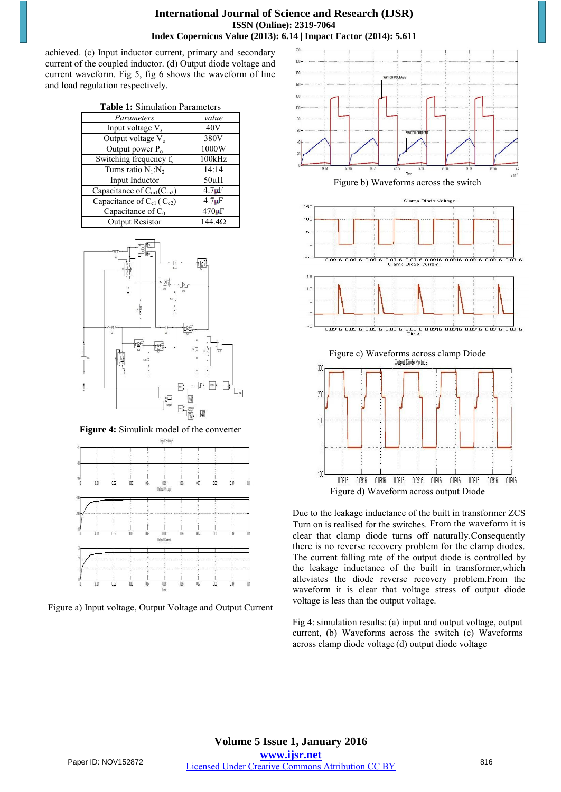achieved. (c) Input inductor current, primary and secondary current of the coupled inductor. (d) Output diode voltage and current waveform. Fig 5, fig 6 shows the waveform of line and load regulation respectively.

| <b>Table 1:</b> Simulation Parameters |               |
|---------------------------------------|---------------|
| Parameters                            | value         |
| Input voltage $V_s$                   | 40V           |
| Output voltage V <sub>o</sub>         | 380V          |
| Output power $P_0$                    | 1000W         |
| Switching frequency $f_s$             | 100kHz        |
| Turns ratio $N_1:N_2$                 | 14:14         |
| Input Inductor                        | $50\mu H$     |
| Capacitance of $C_{m1}(C_{m2})$       | $4.7\mu F$    |
| Capacitance of $C_{c1}$ ( $C_{c2}$ )  | $4.7\mu F$    |
| Capacitance of $C_0$                  | $470 \mu F$   |
| <b>Output Resistor</b>                | $144.4\Omega$ |



**Figure 4:** Simulink model of the converter



Figure a) Input voltage, Output Voltage and Output Current



Due to the leakage inductance of the built in transformer ZCS Turn on is realised for the switches. From the waveform it is clear that clamp diode turns off naturally.Consequently there is no reverse recovery problem for the clamp diodes. The current falling rate of the output diode is controlled by the leakage inductance of the built in transformer,which alleviates the diode reverse recovery problem.From the waveform it is clear that voltage stress of output diode voltage is less than the output voltage.

Fig 4: simulation results: (a) input and output voltage, output current, (b) Waveforms across the switch (c) Waveforms across clamp diode voltage (d) output diode voltage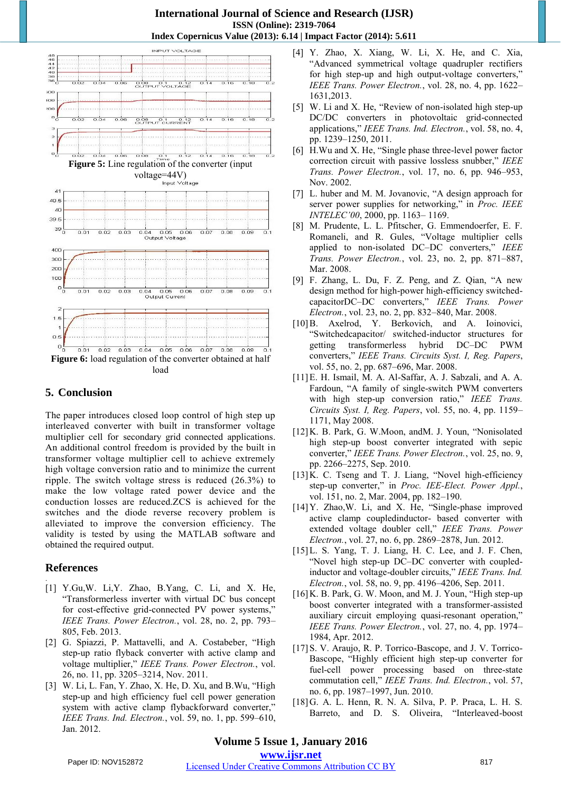#### **International Journal of Science and Research (IJSR) ISSN (Online): 2319-7064 Index Copernicus Value (2013): 6.14 | Impact Factor (2014): 5.611**



#### **5. Conclusion**

The paper introduces closed loop control of high step up interleaved converter with built in transformer voltage multiplier cell for secondary grid connected applications. An additional control freedom is provided by the built in transformer voltage multiplier cell to achieve extremely high voltage conversion ratio and to minimize the current ripple. The switch voltage stress is reduced (26.3%) to make the low voltage rated power device and the conduction losses are reduced.ZCS is achieved for the switches and the diode reverse recovery problem is alleviated to improve the conversion efficiency. The validity is tested by using the MATLAB software and obtained the required output.

# **References**

- . [1] Y.Gu, W. Li, Y. Zhao, B. Yang, C. Li, and X. He, "Transformerless inverter with virtual DC bus concept for cost-effective grid-connected PV power systems," *IEEE Trans. Power Electron.*, vol. 28, no. 2, pp. 793– 805, Feb. 2013.
- [2] G. Spiazzi, P. Mattavelli, and A. Costabeber, "High step-up ratio flyback converter with active clamp and voltage multiplier," *IEEE Trans. Power Electron.*, vol. 26, no. 11, pp. 3205–3214, Nov. 2011.
- [3] W. Li, L. Fan, Y. Zhao, X. He, D. Xu, and B.Wu, "High step-up and high efficiency fuel cell power generation system with active clamp flybackforward converter," *IEEE Trans. Ind. Electron.*, vol. 59, no. 1, pp. 599–610, Jan. 2012.
- [4] Y. Zhao, X. Xiang, W. Li, X. He, and C. Xia, "Advanced symmetrical voltage quadrupler rectifiers for high step-up and high output-voltage converters," *IEEE Trans. Power Electron.*, vol. 28, no. 4, pp. 1622– 1631,2013.
- [5] W. Li and X. He, "Review of non-isolated high step-up DC/DC converters in photovoltaic grid-connected applications," *IEEE Trans. Ind. Electron.*, vol. 58, no. 4, pp. 1239–1250, 2011.
- [6] H.Wu and X. He, "Single phase three-level power factor correction circuit with passive lossless snubber," *IEEE Trans. Power Electron.*, vol. 17, no. 6, pp. 946–953, Nov. 2002.
- [7] L. huber and M. M. Jovanovic, "A design approach for server power supplies for networking," in *Proc. IEEE INTELEC'00*, 2000, pp. 1163– 1169.
- [8] M. Prudente, L. L. Pfitscher, G. Emmendoerfer, E. F. Romaneli, and R. Gules, "Voltage multiplier cells applied to non-isolated DC–DC converters," *IEEE Trans. Power Electron.*, vol. 23, no. 2, pp. 871–887, Mar. 2008.
- [9] F. Zhang, L. Du, F. Z. Peng, and Z. Qian, "A new design method for high-power high-efficiency switchedcapacitorDC–DC converters," *IEEE Trans. Power Electron.*, vol. 23, no. 2, pp. 832–840, Mar. 2008.
- [10]B. Axelrod, Y. Berkovich, and A. Ioinovici, "Switchedcapacitor/ switched-inductor structures for getting transformerless hybrid DC–DC PWM converters," *IEEE Trans. Circuits Syst. I, Reg. Papers*, vol. 55, no. 2, pp. 687–696, Mar. 2008.
- [11]E. H. Ismail, M. A. Al-Saffar, A. J. Sabzali, and A. A. Fardoun, "A family of single-switch PWM converters with high step-up conversion ratio," *IEEE Trans. Circuits Syst. I, Reg. Papers*, vol. 55, no. 4, pp. 1159– 1171, May 2008.
- [12]K. B. Park, G. W.Moon, andM. J. Youn, "Nonisolated high step-up boost converter integrated with sepic converter," *IEEE Trans. Power Electron.*, vol. 25, no. 9, pp. 2266–2275, Sep. 2010.
- [13] K. C. Tseng and T. J. Liang, "Novel high-efficiency step-up converter," in *Proc. IEE-Elect. Power Appl.*, vol. 151, no. 2, Mar. 2004, pp. 182–190.
- [14]Y. Zhao,W. Li, and X. He, "Single-phase improved active clamp coupledinductor- based converter with extended voltage doubler cell," *IEEE Trans. Power Electron.*, vol. 27, no. 6, pp. 2869–2878, Jun. 2012.
- [15]L. S. Yang, T. J. Liang, H. C. Lee, and J. F. Chen, "Novel high step-up DC–DC converter with coupledinductor and voltage-doubler circuits," *IEEE Trans. Ind. Electron.*, vol. 58, no. 9, pp. 4196–4206, Sep. 2011.
- [16] K. B. Park, G. W. Moon, and M. J. Youn, "High step-up boost converter integrated with a transformer-assisted auxiliary circuit employing quasi-resonant operation," *IEEE Trans. Power Electron.*, vol. 27, no. 4, pp. 1974– 1984, Apr. 2012.
- [17] S. V. Araujo, R. P. Torrico-Bascope, and J. V. Torrico-Bascope, "Highly efficient high step-up converter for fuel-cell power processing based on three-state commutation cell," *IEEE Trans. Ind. Electron.*, vol. 57, no. 6, pp. 1987–1997, Jun. 2010.
- [18]G. A. L. Henn, R. N. A. Silva, P. P. Praca, L. H. S. Barreto, and D. S. Oliveira, "Interleaved-boost